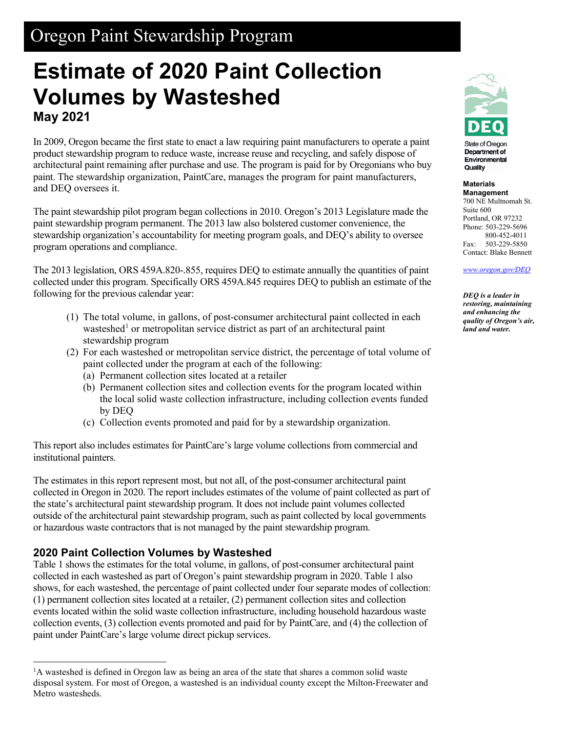## Oregon Paint Stewardship Program

# **Estimate of 2020 Paint Collection Volumes by Wasteshed May 2021**

In 2009, Oregon became the first state to enact a law requiring paint manufacturers to operate a paint product stewardship program to reduce waste, increase reuse and recycling, and safely dispose of architectural paint remaining after purchase and use. The program is paid for by Oregonians who buy paint. The stewardship organization, PaintCare, manages the program for paint manufacturers, and DEQ oversees it.

The paint stewardship pilot program began collections in 2010. Oregon's 2013 Legislature made the paint stewardship program permanent. The 2013 law also bolstered customer convenience, the stewardship organization's accountability for meeting program goals, and DEQ's ability to oversee program operations and compliance.

The 2013 legislation, ORS 459A.820-.855, requires DEQ to estimate annually the quantities of paint collected under this program. Specifically ORS 459A.845 requires DEQ to publish an estimate of the following for the previous calendar year:

- (1) The total volume, in gallons, of post-consumer architectural paint collected in each wasteshed<sup>[1](#page-0-0)</sup> or metropolitan service district as part of an architectural paint stewardship program
- (2) For each wasteshed or metropolitan service district, the percentage of total volume of paint collected under the program at each of the following:
	- (a) Permanent collection sites located at a retailer
	- (b) Permanent collection sites and collection events for the program located within the local solid waste collection infrastructure, including collection events funded by DEQ
	- (c) Collection events promoted and paid for by a stewardship organization.

This report also includes estimates for PaintCare's large volume collections from commercial and institutional painters.

The estimates in this report represent most, but not all, of the post-consumer architectural paint collected in Oregon in 2020. The report includes estimates of the volume of paint collected as part of the state's architectural paint stewardship program. It does not include paint volumes collected outside of the architectural paint stewardship program, such as paint collected by local governments or hazardous waste contractors that is not managed by the paint stewardship program.

## **2020 Paint Collection Volumes by Wasteshed**

Table 1 shows the estimates for the total volume, in gallons, of post-consumer architectural paint collected in each wasteshed as part of Oregon's paint stewardship program in 2020. Table 1 also shows, for each wasteshed, the percentage of paint collected under four separate modes of collection: (1) permanent collection sites located at a retailer, (2) permanent collection sites and collection events located within the solid waste collection infrastructure, including household hazardous waste collection events, (3) collection events promoted and paid for by PaintCare, and (4) the collection of paint under PaintCare's large volume direct pickup services.



State of Oregon Department of Environmental Quality

#### **Materials Management**

700 NE Multnomah St. Suite 600 Portland, OR 97232 Phone: 503-229-5696 800-452-4011 Fax: 503-229-5850 Contact: Blake Bennett

*[www.oregon.gov/DEQ](file://deq000/Templates/General/www.oregon.gov/DEQ)*

*DEQ is a leader in restoring, maintaining and enhancing the quality of Oregon's air, land and water.*

<span id="page-0-0"></span> $\frac{1}{1}$  ${}^{1}$ A wasteshed is defined in Oregon law as being an area of the state that shares a common solid waste disposal system. For most of Oregon, a wasteshed is an individual county except the Milton-Freewater and Metro wastesheds.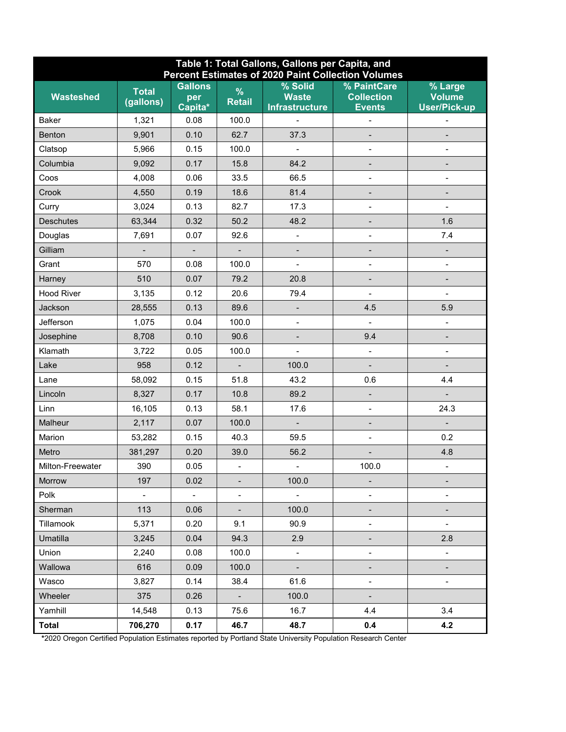| Table 1: Total Gallons, Gallons per Capita, and<br><b>Percent Estimates of 2020 Paint Collection Volumes</b> |                           |                                  |                              |                                                    |                                                   |                                                 |
|--------------------------------------------------------------------------------------------------------------|---------------------------|----------------------------------|------------------------------|----------------------------------------------------|---------------------------------------------------|-------------------------------------------------|
| <b>Wasteshed</b>                                                                                             | <b>Total</b><br>(gallons) | <b>Gallons</b><br>per<br>Capita* | $\%$<br><b>Retail</b>        | $%$ Solid<br><b>Waste</b><br><b>Infrastructure</b> | % PaintCare<br><b>Collection</b><br><b>Events</b> | % Large<br><b>Volume</b><br><b>User/Pick-up</b> |
| Baker                                                                                                        | 1,321                     | 0.08                             | 100.0                        |                                                    |                                                   | $\qquad \qquad \blacksquare$                    |
| <b>Benton</b>                                                                                                | 9,901                     | 0.10                             | 62.7                         | 37.3                                               |                                                   |                                                 |
| Clatsop                                                                                                      | 5,966                     | 0.15                             | 100.0                        |                                                    | $\overline{a}$                                    | $\blacksquare$                                  |
| Columbia                                                                                                     | 9,092                     | 0.17                             | 15.8                         | 84.2                                               | $\overline{\phantom{0}}$                          | $\qquad \qquad \blacksquare$                    |
| Coos                                                                                                         | 4,008                     | 0.06                             | 33.5                         | 66.5                                               | $\overline{a}$                                    | $\overline{\phantom{0}}$                        |
| Crook                                                                                                        | 4,550                     | 0.19                             | 18.6                         | 81.4                                               |                                                   |                                                 |
| Curry                                                                                                        | 3,024                     | 0.13                             | 82.7                         | 17.3                                               |                                                   | $\blacksquare$                                  |
| <b>Deschutes</b>                                                                                             | 63,344                    | 0.32                             | 50.2                         | 48.2                                               | -                                                 | 1.6                                             |
| Douglas                                                                                                      | 7,691                     | 0.07                             | 92.6                         | $\overline{\phantom{a}}$                           | $\overline{\phantom{0}}$                          | 7.4                                             |
| Gilliam                                                                                                      |                           |                                  | $\overline{\phantom{0}}$     |                                                    |                                                   |                                                 |
| Grant                                                                                                        | 570                       | 0.08                             | 100.0                        |                                                    |                                                   | $\overline{\phantom{a}}$                        |
| Harney                                                                                                       | 510                       | 0.07                             | 79.2                         | 20.8                                               |                                                   |                                                 |
| <b>Hood River</b>                                                                                            | 3,135                     | 0.12                             | 20.6                         | 79.4                                               |                                                   |                                                 |
| Jackson                                                                                                      | 28,555                    | 0.13                             | 89.6                         | $\overline{\phantom{a}}$                           | 4.5                                               | 5.9                                             |
| Jefferson                                                                                                    | 1,075                     | 0.04                             | 100.0                        | $\overline{\phantom{0}}$                           | $\frac{1}{2}$                                     | $\blacksquare$                                  |
| Josephine                                                                                                    | 8,708                     | 0.10                             | 90.6                         | $\qquad \qquad \blacksquare$                       | 9.4                                               |                                                 |
| Klamath                                                                                                      | 3,722                     | 0.05                             | 100.0                        | $\frac{1}{2}$                                      | $\qquad \qquad \blacksquare$                      | $\overline{\phantom{a}}$                        |
| Lake                                                                                                         | 958                       | 0.12                             |                              | 100.0                                              |                                                   | -                                               |
| Lane                                                                                                         | 58,092                    | 0.15                             | 51.8                         | 43.2                                               | 0.6                                               | 4.4                                             |
| Lincoln                                                                                                      | 8,327                     | 0.17                             | 10.8                         | 89.2                                               | $\qquad \qquad \blacksquare$                      |                                                 |
| Linn                                                                                                         | 16,105                    | 0.13                             | 58.1                         | 17.6                                               | $\overline{\phantom{0}}$                          | 24.3                                            |
| Malheur                                                                                                      | 2,117                     | 0.07                             | 100.0                        | $\blacksquare$                                     |                                                   | $\overline{\phantom{a}}$                        |
| Marion                                                                                                       | 53,282                    | 0.15                             | 40.3                         | 59.5                                               | $\overline{a}$                                    | 0.2                                             |
| Metro                                                                                                        | 381,297                   | 0.20                             | 39.0                         | 56.2                                               |                                                   | 4.8                                             |
| Milton-Freewater                                                                                             | 390                       | 0.05                             | $\qquad \qquad \blacksquare$ | $\blacksquare$                                     | 100.0                                             | $\blacksquare$                                  |
| Morrow                                                                                                       | 197                       | 0.02                             | -                            | 100.0                                              |                                                   |                                                 |
| Polk                                                                                                         | $\equiv$                  | $\Box$                           | $\overline{\phantom{0}}$     | $\blacksquare$                                     | -                                                 | $\qquad \qquad \blacksquare$                    |
| Sherman                                                                                                      | 113                       | 0.06                             | $\overline{\phantom{0}}$     | 100.0                                              |                                                   |                                                 |
| Tillamook                                                                                                    | 5,371                     | 0.20                             | 9.1                          | 90.9                                               | -                                                 | $\overline{\phantom{a}}$                        |
| Umatilla                                                                                                     | 3,245                     | 0.04                             | 94.3                         | 2.9                                                |                                                   | 2.8                                             |
| Union                                                                                                        | 2,240                     | 0.08                             | 100.0                        | $\overline{\phantom{0}}$                           |                                                   | $\qquad \qquad \blacksquare$                    |
| Wallowa                                                                                                      | 616                       | 0.09                             | 100.0                        |                                                    |                                                   |                                                 |
| Wasco                                                                                                        | 3,827                     | 0.14                             | 38.4                         | 61.6                                               | $\overline{\phantom{0}}$                          | $\overline{\phantom{a}}$                        |
| Wheeler                                                                                                      | 375                       | 0.26                             | $\mathbb{Z}^2$               | 100.0                                              | $\overline{\phantom{0}}$                          |                                                 |
| Yamhill                                                                                                      | 14,548                    | 0.13                             | 75.6                         | 16.7                                               | 4.4                                               | 3.4                                             |
| <b>Total</b>                                                                                                 | 706,270                   | 0.17                             | 46.7                         | 48.7                                               | 0.4                                               | 4.2                                             |

**\***2020 Oregon Certified Population Estimates reported by Portland State University Population Research Center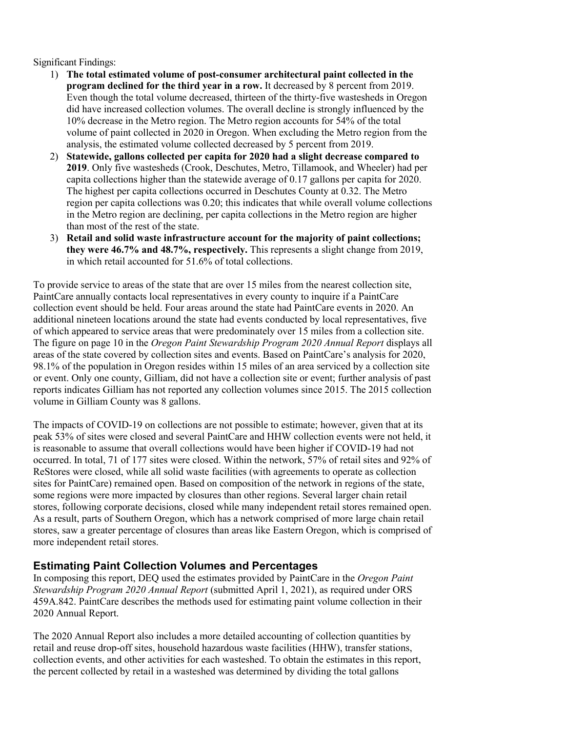Significant Findings:

- 1) **The total estimated volume of post-consumer architectural paint collected in the program declined for the third year in a row.** It decreased by 8 percent from 2019. Even though the total volume decreased, thirteen of the thirty-five wastesheds in Oregon did have increased collection volumes. The overall decline is strongly influenced by the 10% decrease in the Metro region. The Metro region accounts for 54% of the total volume of paint collected in 2020 in Oregon. When excluding the Metro region from the analysis, the estimated volume collected decreased by 5 percent from 2019.
- 2) **Statewide, gallons collected per capita for 2020 had a slight decrease compared to 2019**. Only five wastesheds (Crook, Deschutes, Metro, Tillamook, and Wheeler) had per capita collections higher than the statewide average of 0.17 gallons per capita for 2020. The highest per capita collections occurred in Deschutes County at 0.32. The Metro region per capita collections was 0.20; this indicates that while overall volume collections in the Metro region are declining, per capita collections in the Metro region are higher than most of the rest of the state.
- 3) **Retail and solid waste infrastructure account for the majority of paint collections; they were 46.7% and 48.7%, respectively.** This represents a slight change from 2019, in which retail accounted for 51.6% of total collections.

To provide service to areas of the state that are over 15 miles from the nearest collection site, PaintCare annually contacts local representatives in every county to inquire if a PaintCare collection event should be held. Four areas around the state had PaintCare events in 2020. An additional nineteen locations around the state had events conducted by local representatives, five of which appeared to service areas that were predominately over 15 miles from a collection site. The figure on page 10 in the *Oregon Paint Stewardship Program 2020 Annual Report* displays all areas of the state covered by collection sites and events. Based on PaintCare's analysis for 2020, 98.1% of the population in Oregon resides within 15 miles of an area serviced by a collection site or event. Only one county, Gilliam, did not have a collection site or event; further analysis of past reports indicates Gilliam has not reported any collection volumes since 2015. The 2015 collection volume in Gilliam County was 8 gallons.

The impacts of COVID-19 on collections are not possible to estimate; however, given that at its peak 53% of sites were closed and several PaintCare and HHW collection events were not held, it is reasonable to assume that overall collections would have been higher if COVID-19 had not occurred. In total, 71 of 177 sites were closed. Within the network, 57% of retail sites and 92% of ReStores were closed, while all solid waste facilities (with agreements to operate as collection sites for PaintCare) remained open. Based on composition of the network in regions of the state, some regions were more impacted by closures than other regions. Several larger chain retail stores, following corporate decisions, closed while many independent retail stores remained open. As a result, parts of Southern Oregon, which has a network comprised of more large chain retail stores, saw a greater percentage of closures than areas like Eastern Oregon, which is comprised of more independent retail stores.

## **Estimating Paint Collection Volumes and Percentages**

In composing this report, DEQ used the estimates provided by PaintCare in the *Oregon Paint Stewardship Program 2020 Annual Report* (submitted April 1, 2021), as required under ORS 459A.842. PaintCare describes the methods used for estimating paint volume collection in their 2020 Annual Report.

The 2020 Annual Report also includes a more detailed accounting of collection quantities by retail and reuse drop-off sites, household hazardous waste facilities (HHW), transfer stations, collection events, and other activities for each wasteshed. To obtain the estimates in this report, the percent collected by retail in a wasteshed was determined by dividing the total gallons